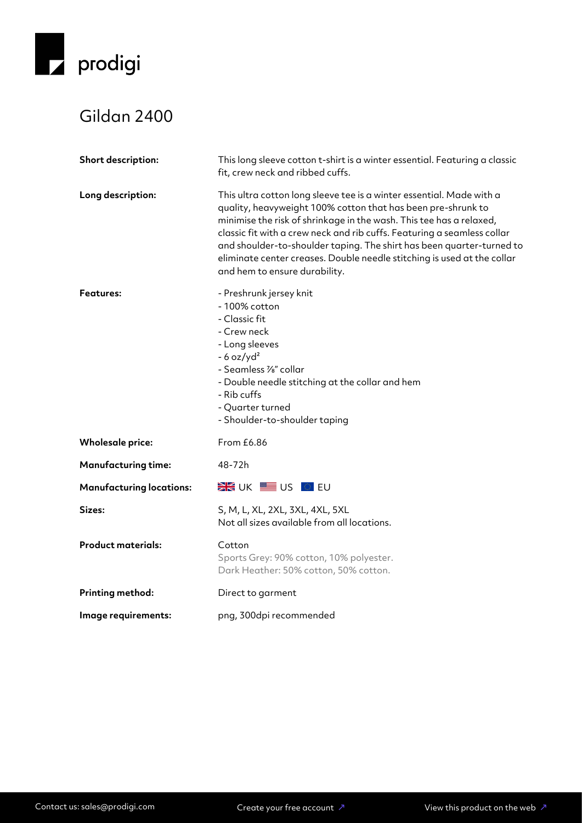

## Gildan 2400

| Short description:              | This long sleeve cotton t-shirt is a winter essential. Featuring a classic<br>fit, crew neck and ribbed cuffs.                                                                                                                                                                                                                                                                                                                                                              |
|---------------------------------|-----------------------------------------------------------------------------------------------------------------------------------------------------------------------------------------------------------------------------------------------------------------------------------------------------------------------------------------------------------------------------------------------------------------------------------------------------------------------------|
| Long description:               | This ultra cotton long sleeve tee is a winter essential. Made with a<br>quality, heavyweight 100% cotton that has been pre-shrunk to<br>minimise the risk of shrinkage in the wash. This tee has a relaxed,<br>classic fit with a crew neck and rib cuffs. Featuring a seamless collar<br>and shoulder-to-shoulder taping. The shirt has been quarter-turned to<br>eliminate center creases. Double needle stitching is used at the collar<br>and hem to ensure durability. |
| <b>Features:</b>                | - Preshrunk jersey knit<br>- 100% cotton<br>- Classic fit<br>- Crew neck<br>- Long sleeves<br>$-6$ oz/yd <sup>2</sup><br>- Seamless 1/8" collar<br>- Double needle stitching at the collar and hem<br>- Rib cuffs<br>- Quarter turned<br>- Shoulder-to-shoulder taping                                                                                                                                                                                                      |
| <b>Wholesale price:</b>         | From £6.86                                                                                                                                                                                                                                                                                                                                                                                                                                                                  |
| <b>Manufacturing time:</b>      | 48-72h                                                                                                                                                                                                                                                                                                                                                                                                                                                                      |
| <b>Manufacturing locations:</b> | <b>EXECUTE US OF EU</b>                                                                                                                                                                                                                                                                                                                                                                                                                                                     |
| Sizes:                          | S, M, L, XL, 2XL, 3XL, 4XL, 5XL<br>Not all sizes available from all locations.                                                                                                                                                                                                                                                                                                                                                                                              |
| <b>Product materials:</b>       | Cotton<br>Sports Grey: 90% cotton, 10% polyester.<br>Dark Heather: 50% cotton, 50% cotton.                                                                                                                                                                                                                                                                                                                                                                                  |
| <b>Printing method:</b>         | Direct to garment                                                                                                                                                                                                                                                                                                                                                                                                                                                           |
| Image requirements:             | png, 300dpi recommended                                                                                                                                                                                                                                                                                                                                                                                                                                                     |